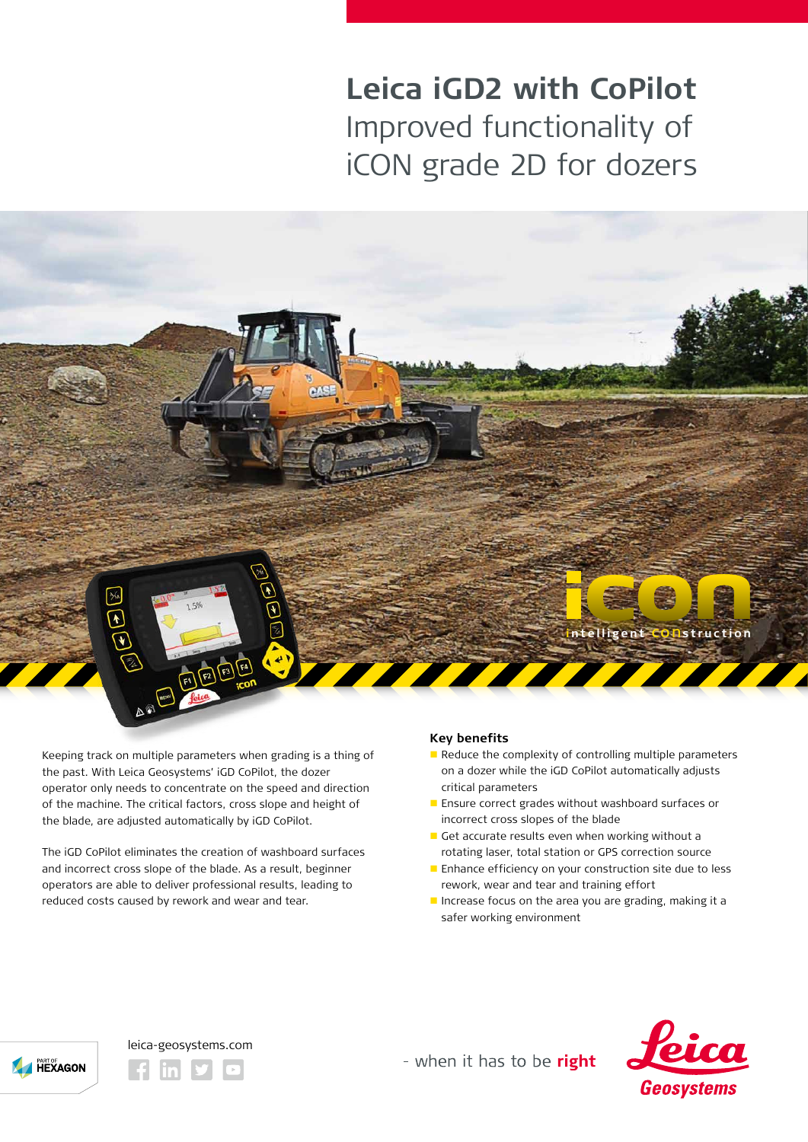# **Leica iGD2 with CoPilot**  Improved functionality of iCON grade 2D for dozers

Keeping track on multiple parameters when grading is a thing of the past. With Leica Geosystems' iGD CoPilot, the dozer operator only needs to concentrate on the speed and direction of the machine. The critical factors, cross slope and height of the blade, are adjusted automatically by iGD CoPilot.

(F) (F2) (F3)

The iGD CoPilot eliminates the creation of washboard surfaces and incorrect cross slope of the blade. As a result, beginner operators are able to deliver professional results, leading to reduced costs caused by rework and wear and tear.

# **Key benefits**

 $\blacksquare$  Reduce the complexity of controlling multiple parameters on a dozer while the iGD CoPilot automatically adjusts critical parameters

**intelligent C O** n**struc t ion**

- Ensure correct grades without washboard surfaces or incorrect cross slopes of the blade
- Get accurate results even when working without a rotating laser, total station or GPS correction source
- $\blacksquare$  Enhance efficiency on your construction site due to less rework, wear and tear and training effort
- Increase focus on the area you are grading, making it a safer working environment





leica-geosystems.com

- when it has to be right